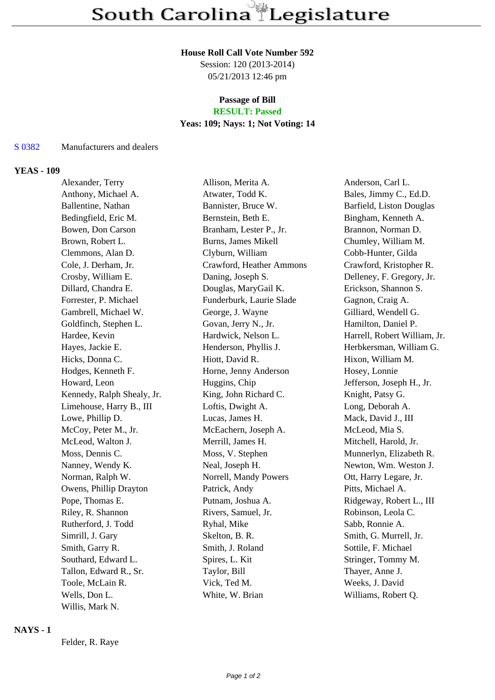#### **House Roll Call Vote Number 592**

Session: 120 (2013-2014) 05/21/2013 12:46 pm

#### **Passage of Bill RESULT: Passed**

# **Yeas: 109; Nays: 1; Not Voting: 14**

#### S 0382 Manufacturers and dealers

#### **YEAS - 109**

Alexander, Terry Allison, Merita A. Anderson, Carl L. Anthony, Michael A. **Atwater, Todd K.** Bales, Jimmy C., Ed.D. Ballentine, Nathan Bannister, Bruce W. Barfield, Liston Douglas Bedingfield, Eric M. Bernstein, Beth E. Bingham, Kenneth A. Bowen, Don Carson Branham, Lester P., Jr. Brannon, Norman D. Brown, Robert L. Burns, James Mikell Chumley, William M. Clemmons, Alan D. Clyburn, William Cobb-Hunter, Gilda Cole, J. Derham, Jr. Crawford, Heather Ammons Crawford, Kristopher R. Crosby, William E. Daning, Joseph S. Delleney, F. Gregory, Jr. Dillard, Chandra E. Douglas, MaryGail K. Erickson, Shannon S. Forrester, P. Michael Funderburk, Laurie Slade Gagnon, Craig A. Gambrell, Michael W. George, J. Wayne Gilliard, Wendell G. Goldfinch, Stephen L. Govan, Jerry N., Jr. Hamilton, Daniel P. Hardee, Kevin **Hardwick, Nelson L.** Harrell, Robert William, Jr. Hayes, Jackie E. **Henderson, Phyllis J.** Herbkersman, William G. Hicks, Donna C. Hiott, David R. Hixon, William M. Hodges, Kenneth F. Horne, Jenny Anderson Hosey, Lonnie Howard, Leon **Huggins, Chip** Jefferson, Joseph H., Jr. Kennedy, Ralph Shealy, Jr. King, John Richard C. Knight, Patsy G. Limehouse, Harry B., III Loftis, Dwight A. Long, Deborah A. Lowe, Phillip D. Cucas, James H. Mack, David J., III McCoy, Peter M., Jr. McEachern, Joseph A. McLeod, Mia S. McLeod, Walton J. Merrill, James H. Mitchell, Harold, Jr. Moss, Dennis C. **Moss, V. Stephen** Munnerlyn, Elizabeth R. Nanney, Wendy K. Neal, Joseph H. Newton, Wm. Weston J. Norman, Ralph W. Norrell, Mandy Powers Ott, Harry Legare, Jr. Owens, Phillip Drayton Patrick, Andy Pitts, Michael A. Pope, Thomas E. **Putnam, Joshua A.** Ridgeway, Robert L., III Riley, R. Shannon Rivers, Samuel, Jr. Robinson, Leola C. Rutherford, J. Todd **Ryhal, Mike** Sabb, Ronnie A. Simrill, J. Gary Skelton, B. R. Smith, G. Murrell, Jr. Smith, Garry R. Smith, J. Roland Sottile, F. Michael Southard, Edward L. Spires, L. Kit Stringer, Tommy M. Tallon, Edward R., Sr. Taylor, Bill Thayer, Anne J. Toole, McLain R. Vick, Ted M. Weeks, J. David Wells, Don L. White, W. Brian Williams, Robert Q. Willis, Mark N.

### **NAYS - 1**

Felder, R. Raye